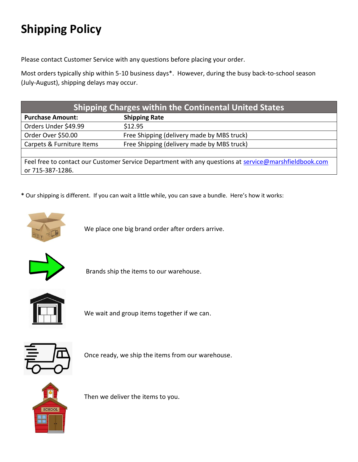## **Shipping Policy**

Please contact Customer Service with any questions before placing your order.

Most orders typically ship within 5-10 business days\*. However, during the busy back-to-school season (July-August), shipping delays may occur.

| <b>Shipping Charges within the Continental United States</b>                                          |                                            |
|-------------------------------------------------------------------------------------------------------|--------------------------------------------|
| <b>Purchase Amount:</b>                                                                               | <b>Shipping Rate</b>                       |
| Orders Under \$49.99                                                                                  | \$12.95                                    |
| Order Over \$50.00                                                                                    | Free Shipping (delivery made by MBS truck) |
| Carpets & Furniture Items                                                                             | Free Shipping (delivery made by MBS truck) |
|                                                                                                       |                                            |
| Feel free to contact our Customer Service Department with any questions at service@marshfieldbook.com |                                            |

or 715-387-1286.

**\*** Our shipping is different. If you can wait a little while, you can save a bundle. Here's how it works:



We place one big brand order after orders arrive.



Brands ship the items to our warehouse.



We wait and group items together if we can.



Once ready, we ship the items from our warehouse.



Then we deliver the items to you.